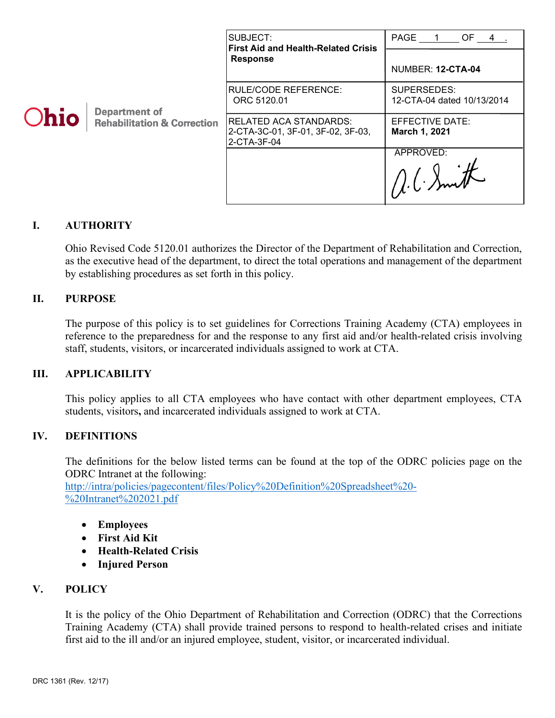|      |                                                                | SUBJECT:<br><b>First Aid and Health-Related Crisis</b><br><b>Response</b>         | PAGE 1<br>OF 4                            |
|------|----------------------------------------------------------------|-----------------------------------------------------------------------------------|-------------------------------------------|
| Ohio | <b>Department of</b><br><b>Rehabilitation &amp; Correction</b> |                                                                                   | NUMBER: 12-CTA-04                         |
|      |                                                                | <b>RULE/CODE REFERENCE:</b><br>ORC 5120.01                                        | SUPERSEDES:<br>12-CTA-04 dated 10/13/2014 |
|      |                                                                | <b>RELATED ACA STANDARDS:</b><br>2-CTA-3C-01, 3F-01, 3F-02, 3F-03,<br>2-CTA-3F-04 | EFFECTIVE DATE:<br>March 1, 2021          |
|      |                                                                |                                                                                   | APPROVED:                                 |

## **I. AUTHORITY**

Ohio Revised Code 5120.01 authorizes the Director of the Department of Rehabilitation and Correction, as the executive head of the department, to direct the total operations and management of the department by establishing procedures as set forth in this policy.

### **II. PURPOSE**

The purpose of this policy is to set guidelines for Corrections Training Academy (CTA) employees in reference to the preparedness for and the response to any first aid and/or health-related crisis involving staff, students, visitors, or incarcerated individuals assigned to work at CTA.

### **III. APPLICABILITY**

This policy applies to all CTA employees who have contact with other department employees, CTA students, visitors**,** and incarcerated individuals assigned to work at CTA.

### **IV. DEFINITIONS**

The definitions for the below listed terms can be found at the top of the ODRC policies page on the ODRC Intranet at the following:

[http://intra/policies/pagecontent/files/Policy%20Definition%20Spreadsheet%20-](http://intra/policies/pagecontent/files/Policy%20Definition%20Spreadsheet%20-%20Intranet%202021.pdf) [%20Intranet%202021.pdf](http://intra/policies/pagecontent/files/Policy%20Definition%20Spreadsheet%20-%20Intranet%202021.pdf)

- **Employees**
- **First Aid Kit**
- **Health-Related Crisis**
- **Injured Person**

# **V. POLICY**

It is the policy of the Ohio Department of Rehabilitation and Correction (ODRC) that the Corrections Training Academy (CTA) shall provide trained persons to respond to health-related crises and initiate first aid to the ill and/or an injured employee, student, visitor, or incarcerated individual.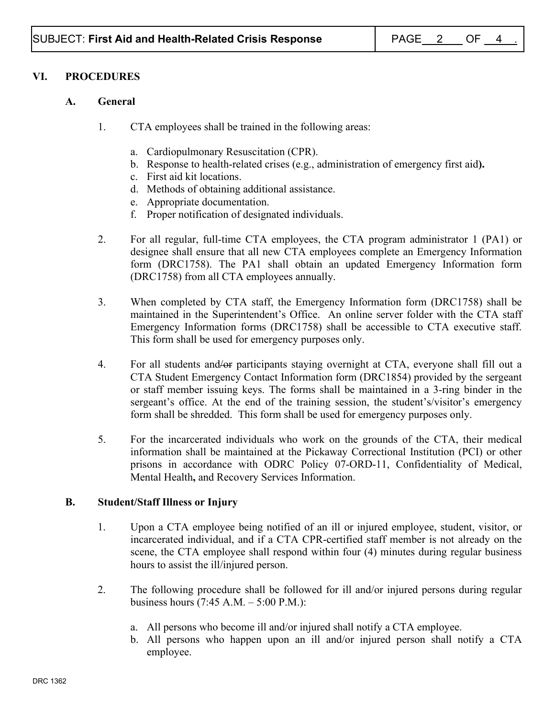## **VI. PROCEDURES**

### **A. General**

- 1. CTA employees shall be trained in the following areas:
	- a. Cardiopulmonary Resuscitation (CPR).
	- b. Response to health-related crises (e.g., administration of emergency first aid**).**
	- c. First aid kit locations.
	- d. Methods of obtaining additional assistance.
	- e. Appropriate documentation.
	- f. Proper notification of designated individuals.
- 2. For all regular, full-time CTA employees, the CTA program administrator 1 (PA1) or designee shall ensure that all new CTA employees complete an Emergency Information form (DRC1758). The PA1 shall obtain an updated Emergency Information form (DRC1758) from all CTA employees annually.
- 3. When completed by CTA staff, the Emergency Information form (DRC1758) shall be maintained in the Superintendent's Office. An online server folder with the CTA staff Emergency Information forms (DRC1758) shall be accessible to CTA executive staff. This form shall be used for emergency purposes only.
- 4. For all students and/or participants staying overnight at CTA, everyone shall fill out a CTA Student Emergency Contact Information form (DRC1854) provided by the sergeant or staff member issuing keys. The forms shall be maintained in a 3-ring binder in the sergeant's office. At the end of the training session, the student's/visitor's emergency form shall be shredded. This form shall be used for emergency purposes only.
- 5. For the incarcerated individuals who work on the grounds of the CTA, their medical information shall be maintained at the Pickaway Correctional Institution (PCI) or other prisons in accordance with ODRC Policy 07-ORD-11, Confidentiality of Medical, Mental Health**,** and Recovery Services Information.

### **B. Student/Staff Illness or Injury**

- 1. Upon a CTA employee being notified of an ill or injured employee, student, visitor, or incarcerated individual, and if a CTA CPR-certified staff member is not already on the scene, the CTA employee shall respond within four (4) minutes during regular business hours to assist the ill/injured person.
- 2. The following procedure shall be followed for ill and/or injured persons during regular business hours (7:45 A.M. – 5:00 P.M.):
	- a. All persons who become ill and/or injured shall notify a CTA employee.
	- b. All persons who happen upon an ill and/or injured person shall notify a CTA employee.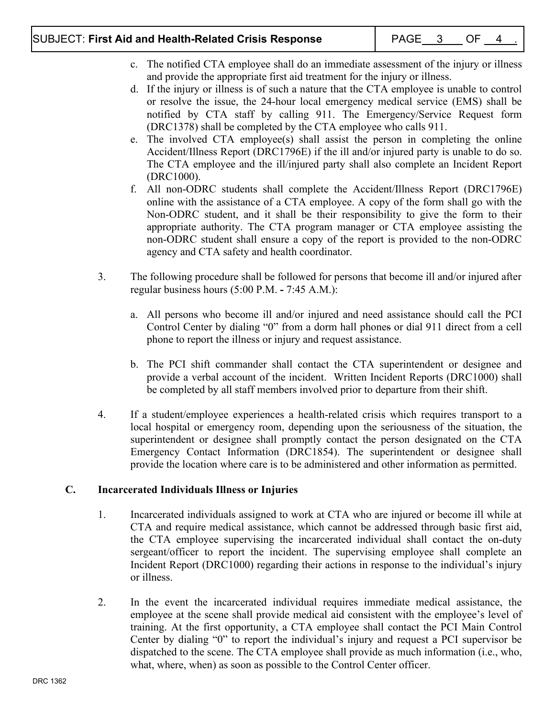# SUBJECT: **First Aid and Health-Related Crisis Response** | PAGE\_\_\_3\_\_\_\_OF\_\_\_4

- c. The notified CTA employee shall do an immediate assessment of the injury or illness and provide the appropriate first aid treatment for the injury or illness.
- d. If the injury or illness is of such a nature that the CTA employee is unable to control or resolve the issue, the 24-hour local emergency medical service (EMS) shall be notified by CTA staff by calling 911. The Emergency/Service Request form (DRC1378) shall be completed by the CTA employee who calls 911.
- e. The involved CTA employee(s) shall assist the person in completing the online Accident/Illness Report (DRC1796E) if the ill and/or injured party is unable to do so. The CTA employee and the ill/injured party shall also complete an Incident Report (DRC1000).
- f. All non-ODRC students shall complete the Accident/Illness Report (DRC1796E) online with the assistance of a CTA employee. A copy of the form shall go with the Non-ODRC student, and it shall be their responsibility to give the form to their appropriate authority. The CTA program manager or CTA employee assisting the non-ODRC student shall ensure a copy of the report is provided to the non-ODRC agency and CTA safety and health coordinator.
- 3. The following procedure shall be followed for persons that become ill and/or injured after regular business hours (5:00 P.M. **-** 7:45 A.M.):
	- a. All persons who become ill and/or injured and need assistance should call the PCI Control Center by dialing "0" from a dorm hall phones or dial 911 direct from a cell phone to report the illness or injury and request assistance.
	- b. The PCI shift commander shall contact the CTA superintendent or designee and provide a verbal account of the incident. Written Incident Reports (DRC1000) shall be completed by all staff members involved prior to departure from their shift.
- 4. If a student/employee experiences a health-related crisis which requires transport to a local hospital or emergency room, depending upon the seriousness of the situation, the superintendent or designee shall promptly contact the person designated on the CTA Emergency Contact Information (DRC1854). The superintendent or designee shall provide the location where care is to be administered and other information as permitted.

# **C. Incarcerated Individuals Illness or Injuries**

- 1. Incarcerated individuals assigned to work at CTA who are injured or become ill while at CTA and require medical assistance, which cannot be addressed through basic first aid, the CTA employee supervising the incarcerated individual shall contact the on-duty sergeant/officer to report the incident. The supervising employee shall complete an Incident Report (DRC1000) regarding their actions in response to the individual's injury or illness.
- 2. In the event the incarcerated individual requires immediate medical assistance, the employee at the scene shall provide medical aid consistent with the employee's level of training. At the first opportunity, a CTA employee shall contact the PCI Main Control Center by dialing "0" to report the individual's injury and request a PCI supervisor be dispatched to the scene. The CTA employee shall provide as much information (i.e., who, what, where, when) as soon as possible to the Control Center officer.